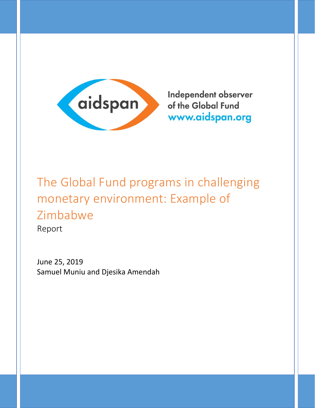

Independent observer of the Global Fund www.aidspan.org

# The Global Fund programs in challenging monetary environment: Example of Zimbabwe

Report

June 25, 2019 Samuel Muniu and Djesika Amendah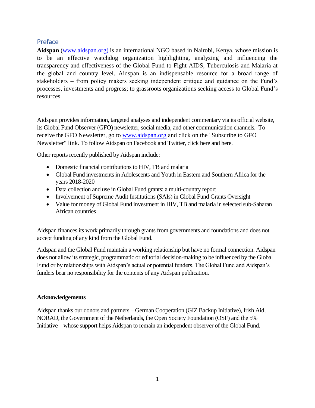# <span id="page-1-0"></span>Preface

**Aidspan** (www.aidspan.org) is an international NGO based in Nairobi, Kenya, whose mission is to be an effective watchdog organization highlighting, analyzing and influencing the transparency and effectiveness of the Global Fund to Fight AIDS, Tuberculosis and Malaria at the global and country level. Aidspan is an indispensable resource for a broad range of stakeholders – from policy makers seeking independent critique and guidance on the Fund's processes, investments and progress; to grassroots organizations seeking access to Global Fund's resources.

Aidspan provides information, targeted analyses and independent commentary via its official website, its Global Fund Observer (GFO) newsletter, social media, and other communication channels. To receive the GFO Newsletter, go to [www.aidspan.org](http://www.aidspan.org/) and click on the "Subscribe to GFO Newsletter" link. To follow Aidspan on Facebook and Twitter, click [here](https://web.facebook.com/Aidspan1/?ref=br_rs) and [here.](https://twitter.com/aidspan)

Other reports recently published by Aidspan include:

- Domestic financial contributions to HIV, TB and malaria
- Global Fund investments in Adolescents and Youth in Eastern and Southern Africa for the years 2018-2020
- Data collection and use in Global Fund grants: a multi-country report
- Involvement of Supreme Audit Institutions (SAIs) in Global Fund Grants Oversight
- Value for money of Global Fund investment in HIV, TB and malaria in selected sub-Saharan African countries

Aidspan finances its work primarily through grants from governments and foundations and does not accept funding of any kind from the Global Fund.

Aidspan and the Global Fund maintain a working relationship but have no formal connection. Aidspan does not allow its strategic, programmatic or editorial decision-making to be influenced by the Global Fund or by relationships with Aidspan's actual or potential funders. The Global Fund and Aidspan's funders bear no responsibility for the contents of any Aidspan publication.

#### **Acknowledgements**

Aidspan thanks our donors and partners – German Cooperation (GIZ Backup Initiative), Irish Aid, NORAD, the Government of the Netherlands, the Open Society Foundation (OSF) and the 5% Initiative – whose support helps Aidspan to remain an independent observer of the Global Fund.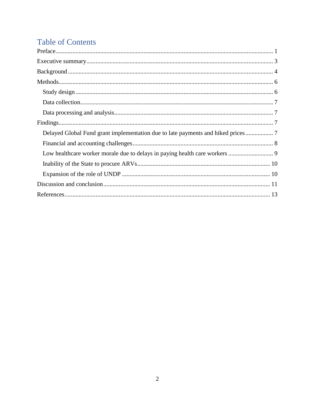# **Table of Contents**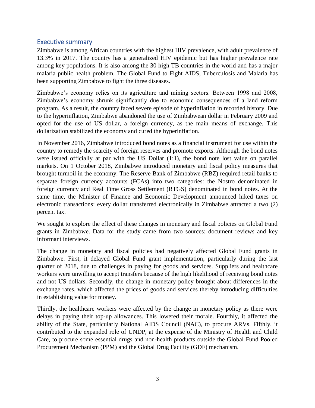#### <span id="page-3-0"></span>Executive summary

Zimbabwe is among African countries with the highest HIV prevalence, with adult prevalence of 13.3% in 2017. The country has a generalized HIV epidemic but has higher prevalence rate among key populations. It is also among the 30 high TB countries in the world and has a major malaria public health problem. The Global Fund to Fight AIDS, Tuberculosis and Malaria has been supporting Zimbabwe to fight the three diseases.

Zimbabwe's economy relies on its agriculture and mining sectors. Between 1998 and 2008, Zimbabwe's economy shrunk significantly due to economic consequences of a land reform program. As a result, the country faced severe episode of hyperinflation in recorded history. Due to the hyperinflation, Zimbabwe abandoned the use of Zimbabwean dollar in February 2009 and opted for the use of US dollar, a foreign currency, as the main means of exchange. This dollarization stabilized the economy and cured the hyperinflation.

In November 2016, Zimbabwe introduced bond notes as a financial instrument for use within the country to remedy the scarcity of foreign reserves and promote exports. Although the bond notes were issued officially at par with the US Dollar (1:1), the bond note lost value on parallel markets. On 1 October 2018, Zimbabwe introduced monetary and fiscal policy measures that brought turmoil in the economy. The Reserve Bank of Zimbabwe (RBZ) required retail banks to separate foreign currency accounts (FCAs) into two categories: the Nostro denominated in foreign currency and Real Time Gross Settlement (RTGS) denominated in bond notes. At the same time, the Minister of Finance and Economic Development announced hiked taxes on electronic transactions: every dollar transferred electronically in Zimbabwe attracted a two (2) percent tax.

We sought to explore the effect of these changes in monetary and fiscal policies on Global Fund grants in Zimbabwe. Data for the study came from two sources: document reviews and key informant interviews.

The change in monetary and fiscal policies had negatively affected Global Fund grants in Zimbabwe. First, it delayed Global Fund grant implementation, particularly during the last quarter of 2018, due to challenges in paying for goods and services. Suppliers and healthcare workers were unwilling to accept transfers because of the high likelihood of receiving bond notes and not US dollars. Secondly, the change in monetary policy brought about differences in the exchange rates, which affected the prices of goods and services thereby introducing difficulties in establishing value for money.

Thirdly, the healthcare workers were affected by the change in monetary policy as there were delays in paying their top-up allowances. This lowered their morale. Fourthly, it affected the ability of the State, particularly National AIDS Council (NAC), to procure ARVs. Fifthly, it contributed to the expanded role of UNDP, at the expense of the Ministry of Health and Child Care, to procure some essential drugs and non-health products outside the Global Fund Pooled Procurement Mechanism (PPM) and the Global Drug Facility (GDF) mechanism.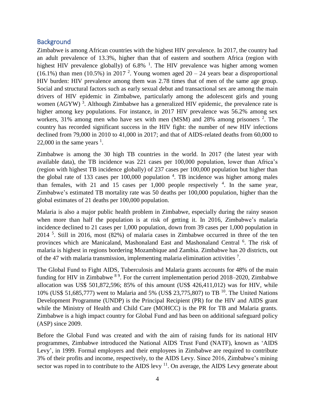## <span id="page-4-0"></span>**Background**

Zimbabwe is among African countries with the highest HIV prevalence. In 2017, the country had an adult prevalence of 13.3%, higher than that of eastern and southern Africa (region with highest HIV prevalence globally) of  $6.8\%$  <sup>1</sup>. The HIV prevalence was higher among women (16.1%) than men (10.5%) in 2017<sup>2</sup>. Young women aged  $20 - 24$  years bear a disproportional HIV burden: HIV prevalence among them was 2.78 times that of men of the same age group. Social and structural factors such as early sexual debut and transactional sex are among the main drivers of HIV epidemic in Zimbabwe, particularly among the adolescent girls and young women  $(AGYW)^3$ . Although Zimbabwe has a generalized HIV epidemic, the prevalence rate is higher among key populations. For instance, in 2017 HIV prevalence was 56.2% among sex workers, 31% among men who have sex with men (MSM) and 28% among prisoners  $2$ . The country has recorded significant success in the HIV fight: the number of new HIV infections declined from 79,000 in 2010 to 41,000 in 2017; and that of AIDS-related deaths from 60,000 to 22,000 in the same years  $<sup>1</sup>$ .</sup>

Zimbabwe is among the 30 high TB countries in the world. In 2017 (the latest year with available data), the TB incidence was 221 cases per 100,000 population, lower than Africa's (region with highest TB incidence globally) of 237 cases per 100,000 population but higher than the global rate of 133 cases per  $100,000$  population  $4$ . TB incidence was higher among males than females, with 21 and 15 cases per  $1,000$  people respectively  $4$ . In the same year, Zimbabwe's estimated TB mortality rate was 50 deaths per 100,000 population, higher than the global estimates of 21 deaths per 100,000 population.

Malaria is also a major public health problem in Zimbabwe, especially during the rainy season when more than half the population is at risk of getting it. In 2016, Zimbabwe's malaria incidence declined to 21 cases per 1,000 population, down from 39 cases per 1,000 population in 2014 <sup>5</sup> . Still in 2016, most (82%) of malaria cases in Zimbabwe occurred in three of the ten provinces which are Manicaland, Mashonaland East and Mashonaland Central <sup>6</sup>. The risk of malaria is highest in regions bordering Mozambique and Zambia. Zimbabwe has 20 districts, out of the 47 with malaria transmission, implementing malaria elimination activities <sup>7</sup>.

The Global Fund to Fight AIDS, Tuberculosis and Malaria grants accounts for 48% of the main funding for HIV in Zimbabwe <sup>89</sup>. For the current implementation period 2018–2020, Zimbabwe allocation was US\$ 501,872,596; 85% of this amount (US\$ 426,411,012) was for HIV, while 10% (US\$ 51,685,777) went to Malaria and 5% (US\$ 23,775,807) to TB <sup>10</sup>. The United Nations Development Programme (UNDP) is the Principal Recipient (PR) for the HIV and AIDS grant while the Ministry of Health and Child Care (MOHCC) is the PR for TB and Malaria grants. Zimbabwe is a high impact country for Global Fund and has been on additional safeguard policy (ASP) since 2009.

Before the Global Fund was created and with the aim of raising funds for its national HIV programmes, Zimbabwe introduced the National AIDS Trust Fund (NATF), known as 'AIDS Levy', in 1999. Formal employers and their employees in Zimbabwe are required to contribute 3% of their profits and income, respectively, to the AIDS Levy. Since 2016, Zimbabwe's mining sector was roped in to contribute to the AIDS levy  $11$ . On average, the AIDS Levy generate about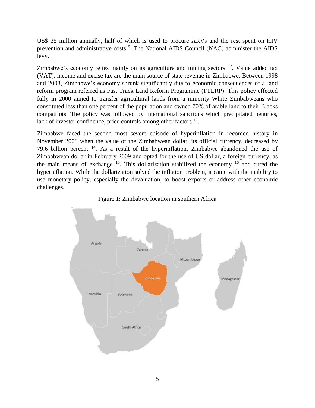US\$ 35 million annually, half of which is used to procure ARVs and the rest spent on HIV prevention and administrative costs<sup>9</sup>. The National AIDS Council (NAC) administer the AIDS levy.

Zimbabwe's economy relies mainly on its agriculture and mining sectors  $12$ . Value added tax (VAT), income and excise tax are the main source of state revenue in Zimbabwe. Between 1998 and 2008, Zimbabwe's economy shrunk significantly due to economic consequences of a land reform program referred as Fast Track Land Reform Programme (FTLRP). This policy effected fully in 2000 aimed to transfer agricultural lands from a minority White Zimbabweans who constituted less than one percent of the population and owned 70% of arable land to their Blacks compatriots. The policy was followed by international sanctions which precipitated penuries, lack of investor confidence, price controls among other factors <sup>13</sup>.

Zimbabwe faced the second most severe episode of hyperinflation in recorded history in November 2008 when the value of the Zimbabwean dollar, its official currency, decreased by 79.6 billion percent  $14$ . As a result of the hyperinflation, Zimbabwe abandoned the use of Zimbabwean dollar in February 2009 and opted for the use of US dollar, a foreign currency, as the main means of exchange  $15$ . This dollarization stabilized the economy  $16$  and cured the hyperinflation. While the dollarization solved the inflation problem, it came with the inability to use monetary policy, especially the devaluation, to boost exports or address other economic challenges.



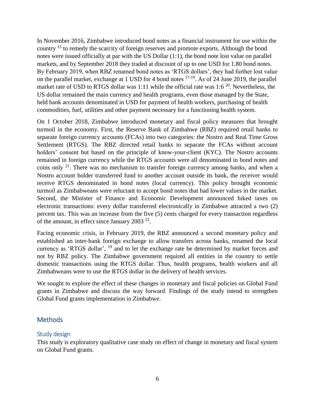In November 2016, Zimbabwe introduced bond notes as a financial instrument for use within the country <sup>15</sup> to remedy the scarcity of foreign reserves and promote exports. Although the bond notes were issued officially at par with the US Dollar (1:1), the bond note lost value on parallel markets, and by September 2018 they traded at discount of up to one USD for 1.80 bond notes. By February 2019, when RBZ renamed bond notes as 'RTGS dollars', they had further lost value on the parallel market, exchange at 1 USD for 4 bond notes  $17-19$ . As of 24 June 2019, the parallel market rate of USD to RTGS dollar was 1:11 while the official rate was 1:6<sup>20</sup>. Nevertheless, the US dollar remained the main currency and health programs, even those managed by the State, held bank accounts denominated in USD for payment of health workers, purchasing of health commodities, fuel, utilities and other payment necessary for a functioning health system.

On 1 October 2018, Zimbabwe introduced monetary and fiscal policy measures that brought turmoil in the economy. First, the Reserve Bank of Zimbabwe (RBZ) required retail banks to separate foreign currency accounts (FCAs) into two categories: the Nostro and Real Time Gross Settlement (RTGS). The RBZ directed retail banks to separate the FCAs without account holders' consent but based on the principle of know-your-client (KYC). The Nostro accounts remained in foreign currency while the RTGS accounts were all denominated in bond notes and coins only  $2^1$ . There was no mechanism to transfer foreign currency among banks, and when a Nostro account holder transferred fund to another account outside its bank, the receiver would receive RTGS denominated in bond notes (local currency). This policy brought economic turmoil as Zimbabweans were reluctant to accept bond notes that had lower values in the market. Second, the Minister of Finance and Economic Development announced hiked taxes on electronic transactions: every dollar transferred electronically in Zimbabwe attracted a two (2) percent tax. This was an increase from the five (5) cents charged for every transaction regardless of the amount, in effect since January 2003<sup>22</sup>.

Facing economic crisis, in February 2019, the RBZ announced a second monetary policy and established an inter-bank foreign exchange to allow transfers across banks, renamed the local currency as 'RTGS dollar', <sup>19</sup> and to let the exchange rate be determined by market forces and not by RBZ policy. The Zimbabwe government required all entities in the country to settle domestic transactions using the RTGS dollar. Thus, health programs, health workers and all Zimbabweans were to use the RTGS dollar in the delivery of health services.

We sought to explore the effect of these changes in monetary and fiscal policies on Global Fund grants in Zimbabwe and discuss the way forward. Findings of the study intend to strengthen Global Fund grants implementation in Zimbabwe.

# <span id="page-6-0"></span>Methods

# <span id="page-6-1"></span>Study design

This study is exploratory qualitative case study on effect of change in monetary and fiscal system on Global Fund grants.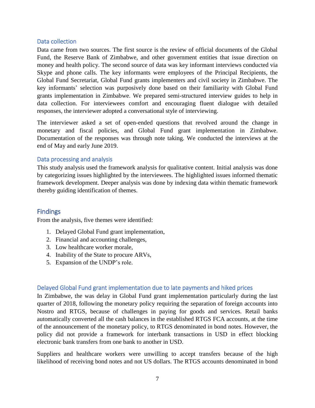#### <span id="page-7-0"></span>Data collection

Data came from two sources. The first source is the review of official documents of the Global Fund, the Reserve Bank of Zimbabwe, and other government entities that issue direction on money and health policy. The second source of data was key informant interviews conducted via Skype and phone calls. The key informants were employees of the Principal Recipients, the Global Fund Secretariat, Global Fund grants implementers and civil society in Zimbabwe. The key informants' selection was purposively done based on their familiarity with Global Fund grants implementation in Zimbabwe. We prepared semi-structured interview guides to help in data collection. For interviewees comfort and encouraging fluent dialogue with detailed responses, the interviewer adopted a conversational style of interviewing.

The interviewer asked a set of open-ended questions that revolved around the change in monetary and fiscal policies, and Global Fund grant implementation in Zimbabwe. Documentation of the responses was through note taking. We conducted the interviews at the end of May and early June 2019.

#### <span id="page-7-1"></span>Data processing and analysis

This study analysis used the framework analysis for qualitative content. Initial analysis was done by categorizing issues highlighted by the interviewees. The highlighted issues informed thematic framework development. Deeper analysis was done by indexing data within thematic framework thereby guiding identification of themes.

# <span id="page-7-2"></span>Findings

From the analysis, five themes were identified:

- 1. Delayed Global Fund grant implementation,
- 2. Financial and accounting challenges,
- 3. Low healthcare worker morale,
- 4. Inability of the State to procure ARVs,
- 5. Expansion of the UNDP's role.

#### <span id="page-7-3"></span>Delayed Global Fund grant implementation due to late payments and hiked prices

In Zimbabwe, the was delay in Global Fund grant implementation particularly during the last quarter of 2018, following the monetary policy requiring the separation of foreign accounts into Nostro and RTGS, because of challenges in paying for goods and services. Retail banks automatically converted all the cash balances in the established RTGS FCA accounts, at the time of the announcement of the monetary policy, to RTGS denominated in bond notes. However, the policy did not provide a framework for interbank transactions in USD in effect blocking electronic bank transfers from one bank to another in USD.

Suppliers and healthcare workers were unwilling to accept transfers because of the high likelihood of receiving bond notes and not US dollars. The RTGS accounts denominated in bond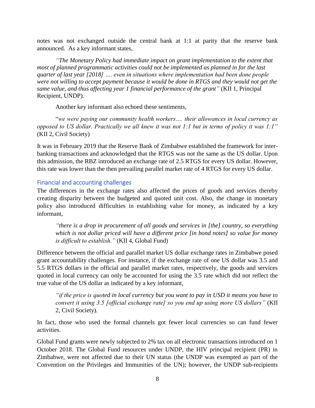notes was not exchanged outside the central bank at 1:1 at parity that the reserve bank announced. As a key informant states,

*"The Monetary Policy had immediate impact on grant implementation to the extent that most of planned programmatic activities could not be implemented as planned in for the last quarter of last year [2018] …. even in situations where implementation had been done people were not willing to accept payment because it would be done in RTGS and they would not get the same value, and thus affecting year 1 financial performance of the grant"* (KII 1, Principal Recipient, UNDP)*.*

Another key informant also echoed these sentiments,

"*we were paying our community health workers…. their allowances in local currency as opposed to US dollar. Practically we all knew it was not 1:1 but in terms of policy it was 1:1"* (KII 2, Civil Society)

It was in February 2019 that the Reserve Bank of Zimbabwe established the framework for interbanking transactions and acknowledged that the RTGS was not the same as the US dollar. Upon this admission, the RBZ introduced an exchange rate of 2.5 RTGS for every US dollar. However, this rate was lower than the then prevailing parallel market rate of 4 RTGS for every US dollar.

#### <span id="page-8-0"></span>Financial and accounting challenges

The differences in the exchange rates also affected the prices of goods and services thereby creating disparity between the budgeted and quoted unit cost. Also, the change in monetary policy also introduced difficulties in establishing value for money, as indicated by a key informant,

*"there is a drop in procurement of all goods and services in [the] country, so everything which is not dollar priced will have a different price [in bond notes] so value for money is difficult to establish."* (KII 4, Global Fund)

Difference between the official and parallel market US dollar exchange rates in Zimbabwe posed grant accountability challenges. For instance, if the exchange rate of one US dollar was 3.5 and 5.5 RTGS dollars in the official and parallel market rates, respectively, the goods and services quoted in local currency can only be accounted for using the 3.5 rate which did not reflect the true value of the US dollar as indicated by a key informant,

*"if the price is quoted in local currency but you want to pay in USD it means you have to convert it using 3.5 [official exchange rate] so you end up using more US dollars"* (KII 2, Civil Society)*.* 

In fact, those who used the formal channels got fewer local currencies so can fund fewer activities.

Global Fund grants were newly subjected to 2% tax on all electronic transactions introduced on 1 October 2018. The Global Fund resources under UNDP, the HIV principal recipient (PR) in Zimbabwe, were not affected due to their UN status (the UNDP was exempted as part of the Convention on the Privileges and Immunities of the UN); however, the UNDP sub-recipients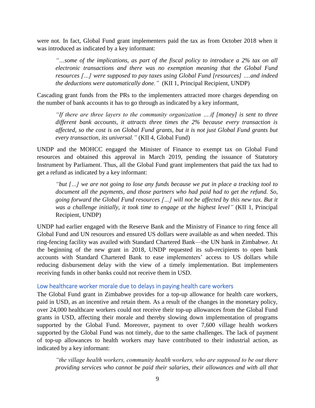were not. In fact, Global Fund grant implementers paid the tax as from October 2018 when it was introduced as indicated by a key informant:

*"…some of the implications, as part of the fiscal policy to introduce a 2% tax on all electronic transactions and there was no exemption meaning that the Global Fund resources […] were supposed to pay taxes using Global Fund [resources] ….and indeed the deductions were automatically done."* (KII 1, Principal Recipient, UNDP)

Cascading grant funds from the PRs to the implementers attracted more charges depending on the number of bank accounts it has to go through as indicated by a key informant,

*"If there are three layers to the community organization ….if [money] is sent to three different bank accounts, it attracts three times the 2% because every transaction is affected, so the cost is on Global Fund grants, but it is not just Global Fund grants but every transaction, its universal."* (KII 4, Global Fund)

UNDP and the MOHCC engaged the Minister of Finance to exempt tax on Global Fund resources and obtained this approval in March 2019, pending the issuance of Statutory Instrument by Parliament. Thus, all the Global Fund grant implementers that paid the tax had to get a refund as indicated by a key informant:

*"but […] we are not going to lose any funds because we put in place a tracking tool to document all the payments, and those partners who had paid had to get the refund. So, going forward the Global Fund resources […] will not be affected by this new tax. But it was a challenge initially, it took time to engage at the highest level"* (KII 1, Principal Recipient, UNDP)

UNDP had earlier engaged with the Reserve Bank and the Ministry of Finance to ring fence all Global Fund and UN resources and ensured US dollars were available as and when needed. This ring-fencing facility was availed with Standard Chartered Bank—the UN bank in Zimbabwe. At the beginning of the new grant in 2018, UNDP requested its sub-recipients to open bank accounts with Standard Chartered Bank to ease implementers' access to US dollars while reducing disbursement delay with the view of a timely implementation. But implementers receiving funds in other banks could not receive them in USD.

#### <span id="page-9-0"></span>Low healthcare worker morale due to delays in paying health care workers

The Global Fund grant in Zimbabwe provides for a top-up allowance for health care workers, paid in USD, as an incentive and retain them. As a result of the changes in the monetary policy, over 24,000 healthcare workers could not receive their top-up allowances from the Global Fund grants in USD, affecting their morale and thereby slowing down implementation of programs supported by the Global Fund. Moreover, payment to over 7,600 village health workers supported by the Global Fund was not timely, due to the same challenges. The lack of payment of top-up allowances to health workers may have contributed to their industrial action, as indicated by a key informant:

*"the village health workers, community health workers, who are supposed to be out there providing services who cannot be paid their salaries, their allowances and with all that*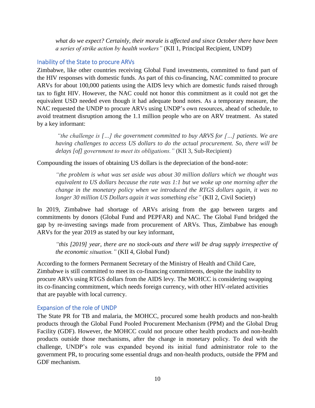*what do we expect? Certainly, their morale is affected and since October there have been a series of strike action by health workers"* (KII 1, Principal Recipient, UNDP)

#### <span id="page-10-0"></span>Inability of the State to procure ARVs

Zimbabwe, like other countries receiving Global Fund investments, committed to fund part of the HIV responses with domestic funds. As part of this co-financing, NAC committed to procure ARVs for about 100,000 patients using the AIDS levy which are domestic funds raised through tax to fight HIV. However, the NAC could not honor this commitment as it could not get the equivalent USD needed even though it had adequate bond notes. As a temporary measure, the NAC requested the UNDP to procure ARVs using UNDP's own resources, ahead of schedule, to avoid treatment disruption among the 1.1 million people who are on ARV treatment. As stated by a key informant:

*"the challenge is […] the government committed to buy ARVS for […] patients. We are having challenges to access US dollars to do the actual procurement. So, there will be delays [of] government to meet its obligations."* (KII 3, Sub-Recipient)

Compounding the issues of obtaining US dollars is the depreciation of the bond-note:

*"the problem is what was set aside was about 30 million dollars which we thought was equivalent to US dollars because the rate was 1:1 but we woke up one morning after the change in the monetary policy when we introduced the RTGS dollars again, it was no longer 30 million US Dollars again it was something else"* (KII 2, Civil Society)

In 2019, Zimbabwe had shortage of ARVs arising from the gap between targets and commitments by donors (Global Fund and PEPFAR) and NAC. The Global Fund bridged the gap by re-investing savings made from procurement of ARVs. Thus, Zimbabwe has enough ARVs for the year 2019 as stated by our key informant,

*"this [2019] year, there are no stock-outs and there will be drug supply irrespective of the economic situation."* (KII 4, Global Fund)

According to the formers Permanent Secretary of the Ministry of Health and Child Care, Zimbabwe is still committed to meet its co-financing commitments, despite the inability to procure ARVs using RTGS dollars from the AIDS levy. The MOHCC is considering swapping its co-financing commitment, which needs foreign currency, with other HIV-related activities that are payable with local currency.

#### <span id="page-10-1"></span>Expansion of the role of UNDP

The State PR for TB and malaria, the MOHCC, procured some health products and non-health products through the Global Fund Pooled Procurement Mechanism (PPM) and the Global Drug Facility (GDF). However, the MOHCC could not procure other health products and non-health products outside those mechanisms, after the change in monetary policy. To deal with the challenge, UNDP's role was expanded beyond its initial fund administrator role to the government PR, to procuring some essential drugs and non-health products, outside the PPM and GDF mechanism.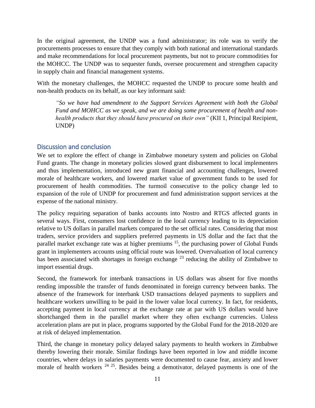In the original agreement, the UNDP was a fund administrator; its role was to verify the procurements processes to ensure that they comply with both national and international standards and make recommendations for local procurement payments, but not to procure commodities for the MOHCC. The UNDP was to sequester funds, oversee procurement and strengthen capacity in supply chain and financial management systems.

With the monetary challenges, the MOHCC requested the UNDP to procure some health and non-health products on its behalf, as our key informant said:

*"So we have had amendment to the Support Services Agreement with both the Global Fund and MOHCC as we speak, and we are doing some procurement of health and nonhealth products that they should have procured on their own"* (KII 1, Principal Recipient, UNDP)

### <span id="page-11-0"></span>Discussion and conclusion

We set to explore the effect of change in Zimbabwe monetary system and policies on Global Fund grants. The change in monetary policies slowed grant disbursement to local implementers and thus implementation, introduced new grant financial and accounting challenges, lowered morale of healthcare workers, and lowered market value of government funds to be used for procurement of health commodities. The turmoil consecutive to the policy change led to expansion of the role of UNDP for procurement and fund administration support services at the expense of the national ministry.

The policy requiring separation of banks accounts into Nostro and RTGS affected grants in several ways. First, consumers lost confidence in the local currency leading to its depreciation relative to US dollars in parallel markets compared to the set official rates. Considering that most traders, service providers and suppliers preferred payments in US dollar and the fact that the parallel market exchange rate was at higher premiums <sup>15</sup>, the purchasing power of Global Funds grant in implementers accounts using official route was lowered. Overvaluation of local currency has been associated with shortages in foreign exchange  $^{23}$  reducing the ability of Zimbabwe to import essential drugs.

Second, the framework for interbank transactions in US dollars was absent for five months rending impossible the transfer of funds denominated in foreign currency between banks. The absence of the framework for interbank USD transactions delayed payments to suppliers and healthcare workers unwilling to be paid in the lower value local currency. In fact, for residents, accepting payment in local currency at the exchange rate at par with US dollars would have shortchanged them in the parallel market where they often exchange currencies. Unless acceleration plans are put in place, programs supported by the Global Fund for the 2018-2020 are at risk of delayed implementation.

Third, the change in monetary policy delayed salary payments to health workers in Zimbabwe thereby lowering their morale. Similar findings have been reported in low and middle income countries, where delays in salaries payments were documented to cause fear, anxiety and lower morale of health workers  $24 \times 25$ . Besides being a demotivator, delayed payments is one of the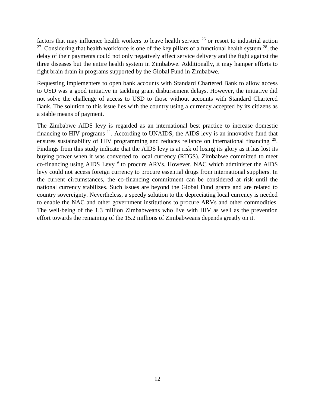factors that may influence health workers to leave health service  $26$  or resort to industrial action <sup>27</sup>. Considering that health workforce is one of the key pillars of a functional health system  $^{28}$ , the delay of their payments could not only negatively affect service delivery and the fight against the three diseases but the entire health system in Zimbabwe. Additionally, it may hamper efforts to fight brain drain in programs supported by the Global Fund in Zimbabwe.

Requesting implementers to open bank accounts with Standard Chartered Bank to allow access to USD was a good initiative in tackling grant disbursement delays. However, the initiative did not solve the challenge of access to USD to those without accounts with Standard Chartered Bank. The solution to this issue lies with the country using a currency accepted by its citizens as a stable means of payment.

The Zimbabwe AIDS levy is regarded as an international best practice to increase domestic financing to HIV programs <sup>11</sup>. According to UNAIDS, the AIDS levy is an innovative fund that ensures sustainability of HIV programming and reduces reliance on international financing <sup>29</sup>. Findings from this study indicate that the AIDS levy is at risk of losing its glory as it has lost its buying power when it was converted to local currency (RTGS). Zimbabwe committed to meet co-financing using AIDS Levy<sup>9</sup> to procure ARVs. However, NAC which administer the AIDS levy could not access foreign currency to procure essential drugs from international suppliers. In the current circumstances, the co-financing commitment can be considered at risk until the national currency stabilizes. Such issues are beyond the Global Fund grants and are related to country sovereignty. Nevertheless, a speedy solution to the depreciating local currency is needed to enable the NAC and other government institutions to procure ARVs and other commodities. The well-being of the 1.3 million Zimbabweans who live with HIV as well as the prevention effort towards the remaining of the 15.2 millions of Zimbabweans depends greatly on it.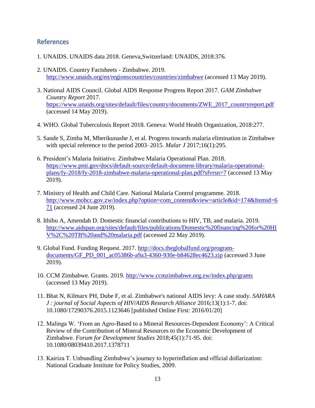#### <span id="page-13-0"></span>References

- 1. UNAIDS. UNAIDS data 2018. Geneva,Switzerland: UNAIDS, 2018:376.
- 2. UNAIDS. Country Factsheets Zimbabwe. 2019. <http://www.unaids.org/en/regionscountries/countries/zimbabwe> (accessed 13 May 2019).
- 3. National AIDS Council. Global AIDS Response Progress Report 2017. *GAM Zimbabwe Country Report* 2017. [https://www.unaids.org/sites/default/files/country/documents/ZWE\\_2017\\_countryreport.pdf](https://www.unaids.org/sites/default/files/country/documents/ZWE_2017_countryreport.pdf) (accessed 14 May 2019).
- 4. WHO. Global Tuberculosis Report 2018. Geneva: World Health Organization, 2018:277.
- 5. Sande S, Zimba M, Mberikunashe J, et al. Progress towards malaria elimination in Zimbabwe with special reference to the period 2003–2015. *Malar J* 2017;16(1):295.
- 6. President's Malaria Initiative. Zimbabwe Malaria Operational Plan. 2018. [https://www.pmi.gov/docs/default-source/default-document-library/malaria-operational](https://www.pmi.gov/docs/default-source/default-document-library/malaria-operational-plans/fy-2018/fy-2018-zimbabwe-malaria-operational-plan.pdf?sfvrsn=7)[plans/fy-2018/fy-2018-zimbabwe-malaria-operational-plan.pdf?sfvrsn=7](https://www.pmi.gov/docs/default-source/default-document-library/malaria-operational-plans/fy-2018/fy-2018-zimbabwe-malaria-operational-plan.pdf?sfvrsn=7) (accessed 13 May 2019).
- 7. Ministry of Health and Child Care. National Malaria Control programme. 2018. [http://www.mohcc.gov.zw/index.php?option=com\\_content&view=article&id=174&Itemid=6](http://www.mohcc.gov.zw/index.php?option=com_content&view=article&id=174&Itemid=671) [71](http://www.mohcc.gov.zw/index.php?option=com_content&view=article&id=174&Itemid=671) (accessed 24 June 2019).
- 8. Ithibu A, Amendah D. Domestic financial contributions to HIV, TB, and malaria. 2019. [http://www.aidspan.org/sites/default/files/publications/Domestic%20financing%20for%20HI](http://www.aidspan.org/sites/default/files/publications/Domestic%20financing%20for%20HIV%2C%20TB%20and%20malaria.pdf) [V%2C%20TB%20and%20malaria.pdf](http://www.aidspan.org/sites/default/files/publications/Domestic%20financing%20for%20HIV%2C%20TB%20and%20malaria.pdf) (accessed 22 May 2019).
- 9. Global Fund. Funding Request. 2017. [http://docs.theglobalfund.org/program](http://docs.theglobalfund.org/program-documents/GF_PD_001_ac05386b-a9a3-4360-930e-b84628ec4623.zip)[documents/GF\\_PD\\_001\\_ac05386b-a9a3-4360-930e-b84628ec4623.zip](http://docs.theglobalfund.org/program-documents/GF_PD_001_ac05386b-a9a3-4360-930e-b84628ec4623.zip) (accessed 3 June 2019).
- 10. CCM Zimbabwe. Grants. 2019.<http://www.ccmzimbabwe.org.zw/index.php/grants> (accessed 13 May 2019).
- 11. Bhat N, Kilmarx PH, Dube F, et al. Zimbabwe's national AIDS levy: A case study. *SAHARA J : journal of Social Aspects of HIV/AIDS Research Alliance* 2016;13(1):1-7. doi: 10.1080/17290376.2015.1123646 [published Online First: 2016/01/20]
- 12. Malinga W. 'From an Agro-Based to a Mineral Resources-Dependent Economy': A Critical Review of the Contribution of Mineral Resources to the Economic Development of Zimbabwe. *Forum for Development Studies* 2018;45(1):71-95. doi: 10.1080/08039410.2017.1378711
- 13. Kairiza T. Unbundling Zimbabwe's journey to hyperinflation and official dollarization: National Graduate Institute for Policy Studies, 2009.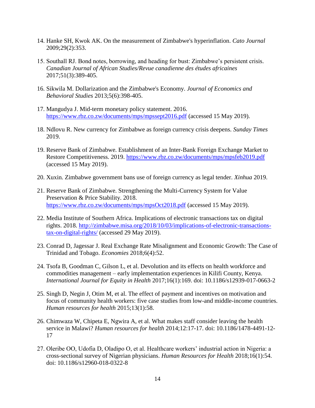- 14. Hanke SH, Kwok AK. On the measurement of Zimbabwe's hyperinflation. *Cato Journal* 2009;29(2):353.
- 15. Southall RJ. Bond notes, borrowing, and heading for bust: Zimbabwe's persistent crisis. *Canadian Journal of African Studies/Revue canadienne des études africaines* 2017;51(3):389-405.
- 16. Sikwila M. Dollarization and the Zimbabwe's Economy. *Journal of Economics and Behavioral Studies* 2013;5(6):398-405.
- 17. Mangudya J. Mid-term monetary policy statement. 2016. <https://www.rbz.co.zw/documents/mps/mpssept2016.pdf> (accessed 15 May 2019).
- 18. Ndlovu R. New currency for Zimbabwe as foreign currency crisis deepens. *Sunday Times* 2019.
- 19. Reserve Bank of Zimbabwe. Establishment of an Inter-Bank Foreign Exchange Market to Restore Competitiveness. 2019.<https://www.rbz.co.zw/documents/mps/mpsfeb2019.pdf> (accessed 15 May 2019).
- 20. Xuxin. Zimbabwe government bans use of foreign currency as legal tender. *Xinhua* 2019.
- 21. Reserve Bank of Zimbabwe. Strengthening the Multi-Currency System for Value Preservation & Price Stability. 2018. <https://www.rbz.co.zw/documents/mps/mpsOct2018.pdf> (accessed 15 May 2019).
- 22. Media Institute of Southern Africa. Implications of electronic transactions tax on digital rights. 2018. [http://zimbabwe.misa.org/2018/10/03/implications-of-electronic-transactions](http://zimbabwe.misa.org/2018/10/03/implications-of-electronic-transactions-tax-on-digital-rights/)[tax-on-digital-rights/](http://zimbabwe.misa.org/2018/10/03/implications-of-electronic-transactions-tax-on-digital-rights/) (accessed 29 May 2019).
- 23. Conrad D, Jagessar J. Real Exchange Rate Misalignment and Economic Growth: The Case of Trinidad and Tobago. *Economies* 2018;6(4):52.
- 24. Tsofa B, Goodman C, Gilson L, et al. Devolution and its effects on health workforce and commodities management – early implementation experiences in Kilifi County, Kenya. *International Journal for Equity in Health* 2017;16(1):169. doi: 10.1186/s12939-017-0663-2
- 25. Singh D, Negin J, Otim M, et al. The effect of payment and incentives on motivation and focus of community health workers: five case studies from low-and middle-income countries. *Human resources for health* 2015;13(1):58.
- 26. Chimwaza W, Chipeta E, Ngwira A, et al. What makes staff consider leaving the health service in Malawi? *Human resources for health* 2014;12:17-17. doi: 10.1186/1478-4491-12- 17
- 27. Oleribe OO, Udofia D, Oladipo O, et al. Healthcare workers' industrial action in Nigeria: a cross-sectional survey of Nigerian physicians. *Human Resources for Health* 2018;16(1):54. doi: 10.1186/s12960-018-0322-8